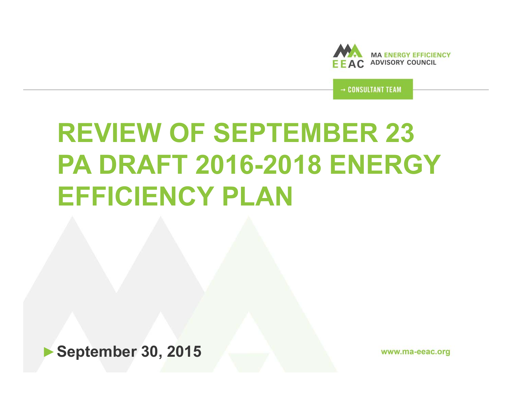

→ CONSULTANT TEAM

# **REVIEW OF SEPTEMBER 23 PA DRAFT 2016-2018 ENERGY EFFICIENCY PLAN**

►**September 30, 2015**

www.ma-eeac.org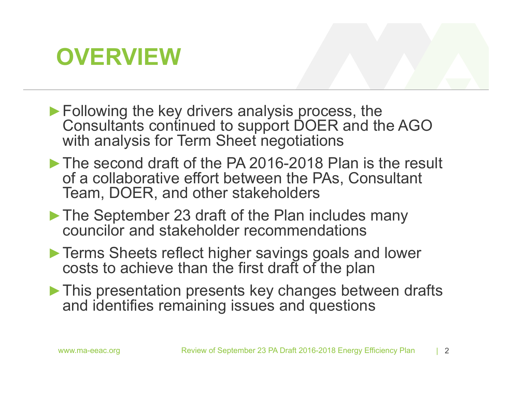## **OVERVIEW**

- **►**Following the key drivers analysis process, the Consultants continued to support DOER and the AGO with analysis for Term Sheet negotiations
- **►**The second draft of the PA 2016-2018 Plan is the result of a collaborative effort between the PAs, Consultant Team, DOER, and other stakeholders
- **►**The September 23 draft of the Plan includes many councilor and stakeholder recommendations
- **►**Terms Sheets reflect higher savings goals and lower costs to achieve than the first draft of the plan
- **►**This presentation presents key changes between drafts and identifies remaining issues and questions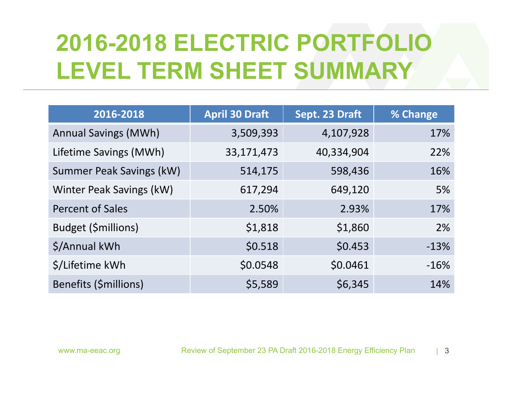# **2016-2018 ELECTRIC PORTFOLIO LEVEL TERM SHEET SUMMARY**

| 2016-2018                   | <b>April 30 Draft</b> | Sept. 23 Draft | % Change |
|-----------------------------|-----------------------|----------------|----------|
| <b>Annual Savings (MWh)</b> | 3,509,393             | 4,107,928      | 17%      |
| Lifetime Savings (MWh)      | 33,171,473            | 40,334,904     | 22%      |
| Summer Peak Savings (kW)    | 514,175               | 598,436        | 16%      |
| Winter Peak Savings (kW)    | 617,294               | 649,120        | 5%       |
| <b>Percent of Sales</b>     | 2.50%                 | 2.93%          | 17%      |
| Budget (\$millions)         | \$1,818               | \$1,860        | 2%       |
| \$/Annual kWh               | \$0.518               | \$0.453        | $-13%$   |
| \$/Lifetime kWh             | \$0.0548              | \$0.0461       | $-16%$   |
| Benefits (\$millions)       | \$5,589               | \$6,345        | 14%      |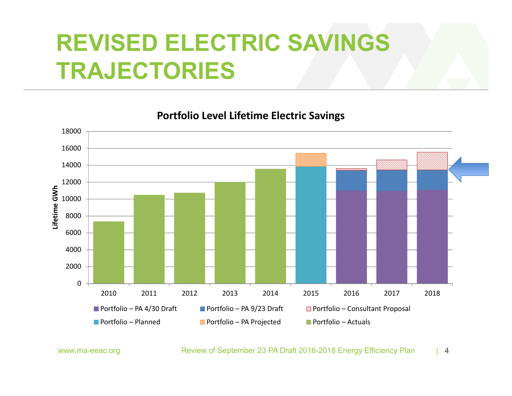# **REVISED ELECTRIC SAVINGS TRAJECTORIES**

0200040006000 8000 10000 120001400016000180002010 2011 2012 2013 2014 2015 2016 2017 2018**Lifetime GWh** Portfolio – PA**Portfolio – PA 9/23 Draft Portfolio – Consultant Proposal** Portfolio - Planned **B** Portfolio – PA Projected  $\blacksquare$  Portfolio – Actuals

**Portfolio Level Lifetime Electric Savings**

www.ma-eeac.org Review of September 23 PA Draft 2016-2018 Energy Efficiency Plan  $\overline{4}$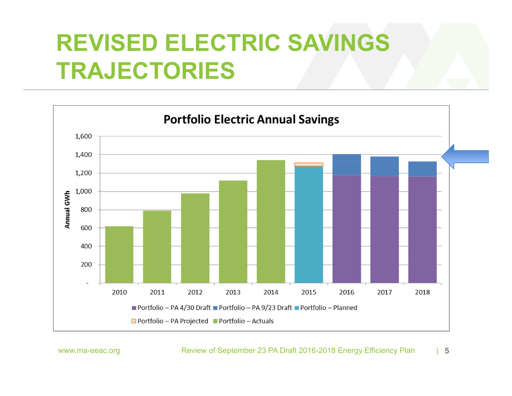## **REVISED ELECTRIC SAVINGS TRAJECTORIES**



#### www.ma-eeac.org Review of September 23 PA Draft 2016-2018 Energy Efficiency Plan | 5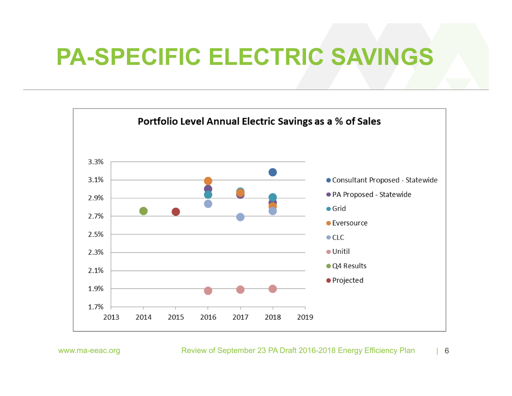## **PA-SPECIFIC ELECTRIC SAVINGS**



www.ma-eeac.org Review of September 23 PA Draft 2016-2018 Energy Efficiency Plan | 6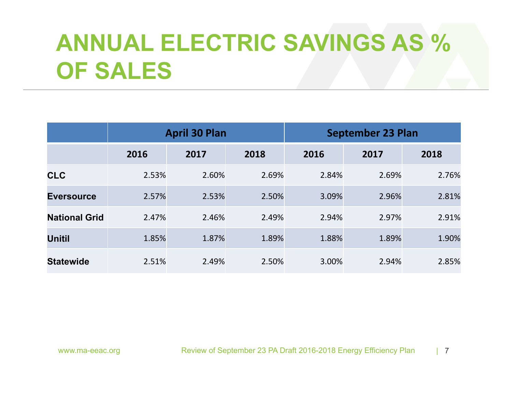# **ANNUAL ELECTRIC SAVINGS AS % OF SALES**

|                      | <b>April 30 Plan</b> |       |       |       | <b>September 23 Plan</b> |       |
|----------------------|----------------------|-------|-------|-------|--------------------------|-------|
|                      | 2016                 | 2017  | 2018  | 2016  | 2017                     | 2018  |
| <b>CLC</b>           | 2.53%                | 2.60% | 2.69% | 2.84% | 2.69%                    | 2.76% |
| <b>Eversource</b>    | 2.57%                | 2.53% | 2.50% | 3.09% | 2.96%                    | 2.81% |
| <b>National Grid</b> | 2.47%                | 2.46% | 2.49% | 2.94% | 2.97%                    | 2.91% |
| <b>Unitil</b>        | 1.85%                | 1.87% | 1.89% | 1.88% | 1.89%                    | 1.90% |
| <b>Statewide</b>     | 2.51%                | 2.49% | 2.50% | 3.00% | 2.94%                    | 2.85% |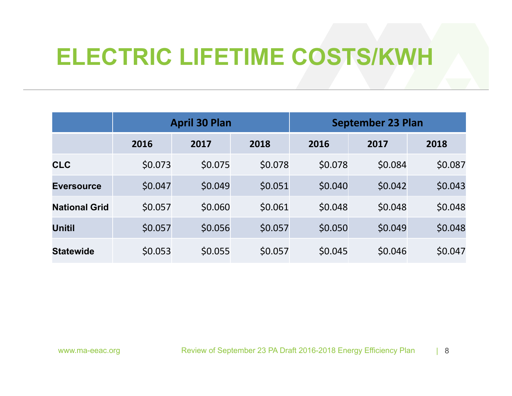## **ELECTRIC LIFETIME COSTS/KWH**

|                      | <b>April 30 Plan</b> |         |         |         | <b>September 23 Plan</b> |         |
|----------------------|----------------------|---------|---------|---------|--------------------------|---------|
|                      | 2016                 | 2017    | 2018    | 2016    | 2017                     | 2018    |
| <b>CLC</b>           | \$0.073              | \$0.075 | \$0.078 | \$0.078 | \$0.084                  | \$0.087 |
| <b>Eversource</b>    | \$0.047              | \$0.049 | \$0.051 | \$0.040 | \$0.042                  | \$0.043 |
| <b>National Grid</b> | \$0.057              | \$0.060 | \$0.061 | \$0.048 | \$0.048                  | \$0.048 |
| <b>Unitil</b>        | \$0.057              | \$0.056 | \$0.057 | \$0.050 | \$0.049                  | \$0.048 |
| <b>Statewide</b>     | \$0.053              | \$0.055 | \$0.057 | \$0.045 | \$0.046                  | \$0.047 |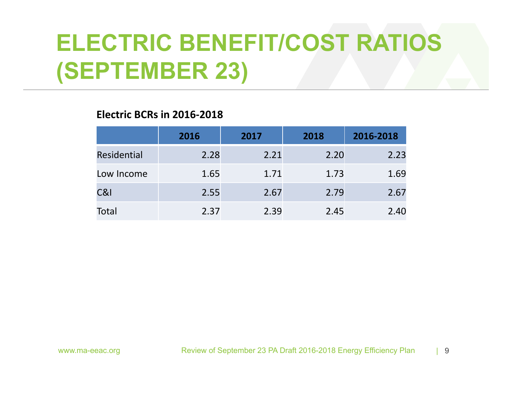# **ELECTRIC BENEFIT/COST RATIOS (SEPTEMBER 23)**

### **Electric BCRs in 2016‐2018**

|                    | 2016 | 2017 | 2018 | 2016-2018 |
|--------------------|------|------|------|-----------|
| <b>Residential</b> | 2.28 | 2.21 | 2.20 | 2.23      |
| Low Income         | 1.65 | 1.71 | 1.73 | 1.69      |
| C&l                | 2.55 | 2.67 | 2.79 | 2.67      |
| Total              | 2.37 | 2.39 | 2.45 | 2.40      |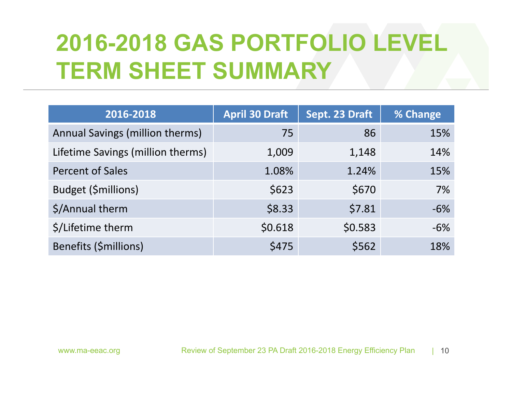# **2016-2018 GAS PORTFOLIO LEVEL TERM SHEET SUMMARY**

| 2016-2018                         | <b>April 30 Draft</b> | Sept. 23 Draft | % Change |
|-----------------------------------|-----------------------|----------------|----------|
| Annual Savings (million therms)   | 75                    | 86             | 15%      |
| Lifetime Savings (million therms) | 1,009                 | 1,148          | 14%      |
| <b>Percent of Sales</b>           | 1.08%                 | 1.24%          | 15%      |
| <b>Budget (\$millions)</b>        | \$623                 | \$670          | 7%       |
| \$/Annual therm                   | \$8.33                | \$7.81         | $-6%$    |
| \$/Lifetime therm                 | \$0.618               | \$0.583        | $-6%$    |
| Benefits (\$millions)             | \$475                 | \$562          | 18%      |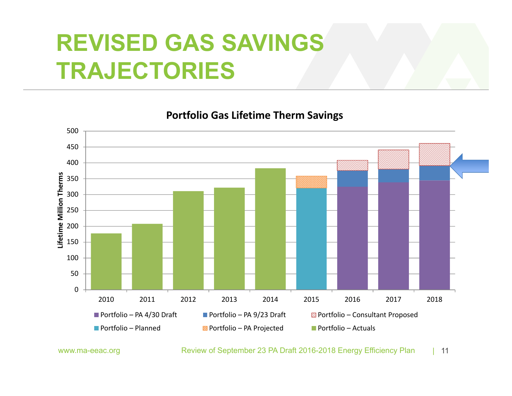## **REVISED GAS SAVINGS TRAJECTORIES**

**Portfolio Gas Lifetime Therm Savings**



www.ma-eeac.org Review of September 23 PA Draft 2016-2018 Energy Efficiency Plan | 11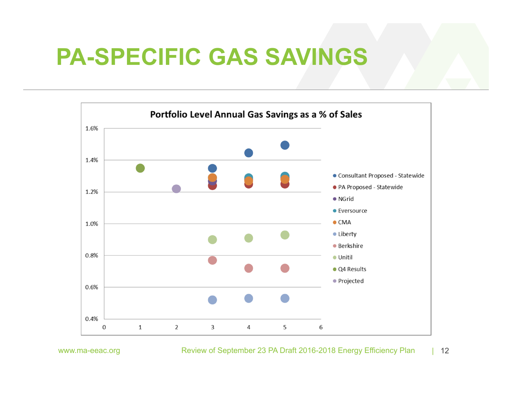## **PA-SPECIFIC GAS SAVINGS**



www.ma-eeac.org Review of September 23 PA Draft 2016-2018 Energy Efficiency Plan  $| 12$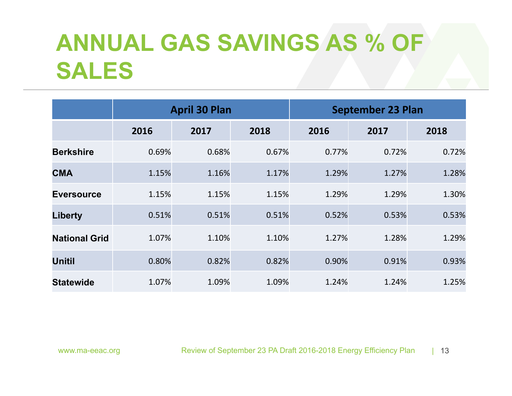## **ANNUAL GAS SAVINGS AS % OF SALES**

|                      | <b>April 30 Plan</b> |       |       | <b>September 23 Plan</b> |       |       |
|----------------------|----------------------|-------|-------|--------------------------|-------|-------|
|                      | 2016                 | 2017  | 2018  | 2016                     | 2017  | 2018  |
| <b>Berkshire</b>     | 0.69%                | 0.68% | 0.67% | 0.77%                    | 0.72% | 0.72% |
| <b>CMA</b>           | 1.15%                | 1.16% | 1.17% | 1.29%                    | 1.27% | 1.28% |
| <b>Eversource</b>    | 1.15%                | 1.15% | 1.15% | 1.29%                    | 1.29% | 1.30% |
| <b>Liberty</b>       | 0.51%                | 0.51% | 0.51% | 0.52%                    | 0.53% | 0.53% |
| <b>National Grid</b> | 1.07%                | 1.10% | 1.10% | 1.27%                    | 1.28% | 1.29% |
| <b>Unitil</b>        | 0.80%                | 0.82% | 0.82% | 0.90%                    | 0.91% | 0.93% |
| <b>Statewide</b>     | 1.07%                | 1.09% | 1.09% | 1.24%                    | 1.24% | 1.25% |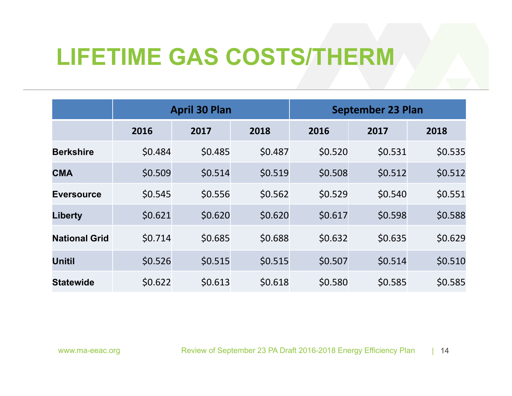## **LIFETIME GAS COSTS/THERM**

|                      | <b>April 30 Plan</b> |         |         |         | <b>September 23 Plan</b> |         |
|----------------------|----------------------|---------|---------|---------|--------------------------|---------|
|                      | 2016                 | 2017    | 2018    | 2016    | 2017                     | 2018    |
| <b>Berkshire</b>     | \$0.484              | \$0.485 | \$0.487 | \$0.520 | \$0.531                  | \$0.535 |
| <b>CMA</b>           | \$0.509              | \$0.514 | \$0.519 | \$0.508 | \$0.512                  | \$0.512 |
| <b>Eversource</b>    | \$0.545              | \$0.556 | \$0.562 | \$0.529 | \$0.540                  | \$0.551 |
| <b>Liberty</b>       | \$0.621              | \$0.620 | \$0.620 | \$0.617 | \$0.598                  | \$0.588 |
| <b>National Grid</b> | \$0.714              | \$0.685 | \$0.688 | \$0.632 | \$0.635                  | \$0.629 |
| <b>Unitil</b>        | \$0.526              | \$0.515 | \$0.515 | \$0.507 | \$0.514                  | \$0.510 |
| <b>Statewide</b>     | \$0.622              | \$0.613 | \$0.618 | \$0.580 | \$0.585                  | \$0.585 |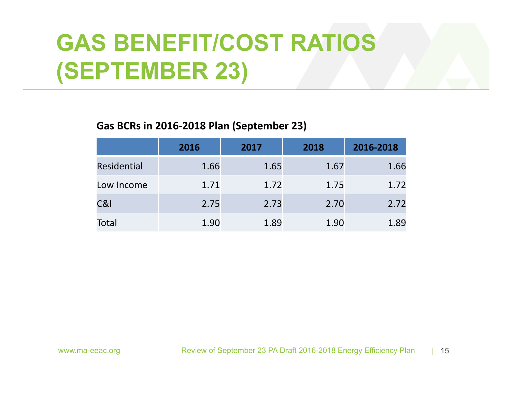# **GAS BENEFIT/COST RATIOS (SEPTEMBER 23)**

### **Gas BCRs in 2016‐2018 Plan (September 23)**

|                    | 2016 | 2017 | 2018 | 2016-2018 |
|--------------------|------|------|------|-----------|
| <b>Residential</b> | 1.66 | 1.65 | 1.67 | 1.66      |
| Low Income         | 1.71 | 1.72 | 1.75 | 1.72      |
| C&I                | 2.75 | 2.73 | 2.70 | 2.72      |
| Total              | 1.90 | 1.89 | 1.90 | 1.89      |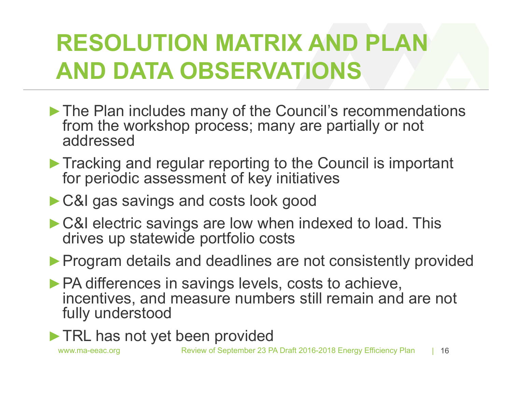# **RESOLUTION MATRIX AND PLAN AND DATA OBSERVATIONS**

- ▶ The Plan includes many of the Council's recommendations from the workshop process; many are partially or not addressed
- **►**Tracking and regular reporting to the Council is important for periodic assessment of key initiatives
- **►**C&I gas savings and costs look good
- **►**C&I electric savings are low when indexed to load. This drives up statewide portfolio costs
- ▶ Program details and deadlines are not consistently provided
- **►**PA differences in savings levels, costs to achieve, incentives, and measure numbers still remain and are not fully understood
- **►**TRL has not yet been provided

www.ma-eeac.org Review of September 23 PA Draft 2016-2018 Energy Efficiency Plan | 16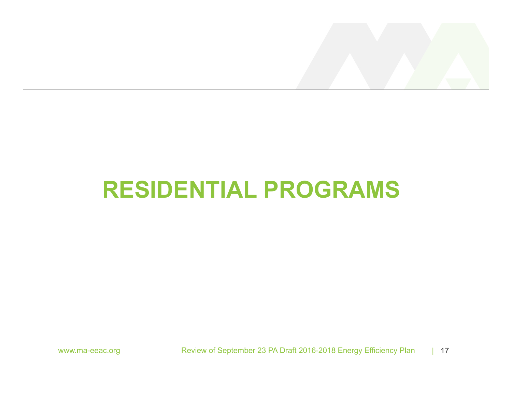

## **RESIDENTIAL PROGRAMS**

www.ma-eeac.org Review of September 23 PA Draft 2016-2018 Energy Efficiency Plan | 17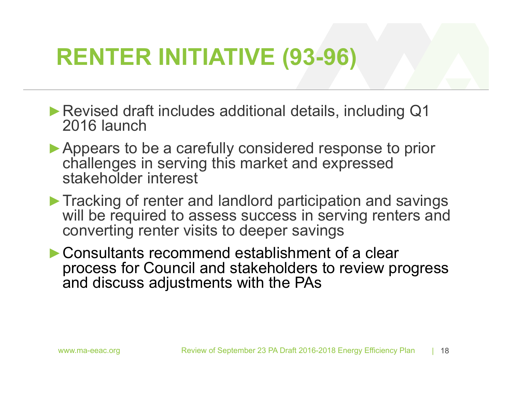## **RENTER INITIATIVE (93-96)**

- **►**Revised draft includes additional details, including Q1 2016 launch
- **►**Appears to be a carefully considered response to prior challenges in serving this market and expressed stakeholder interest
- **►**Tracking of renter and landlord participation and savings will be required to assess success in serving renters and converting renter visits to deeper savings
- **►**Consultants recommend establishment of a clear process for Council and stakeholders to review progress and discuss adjustments with the PAs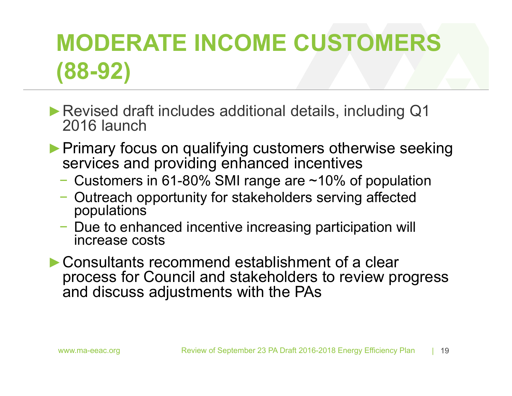# **MODERATE INCOME CUSTOMERS (88-92)**

- **►**Revised draft includes additional details, including Q1 2016 launch
- **►**Primary focus on qualifying customers otherwise seeking services and providing enhanced incentives
	- − Customers in 61-80% SMI range are ~10% of population
	- − Outreach opportunity for stakeholders serving affected populations
	- Due to enhanced incentive increasing participation will increase costs
- **►**Consultants recommend establishment of a clear process for Council and stakeholders to review progress and discuss adjustments with the PAs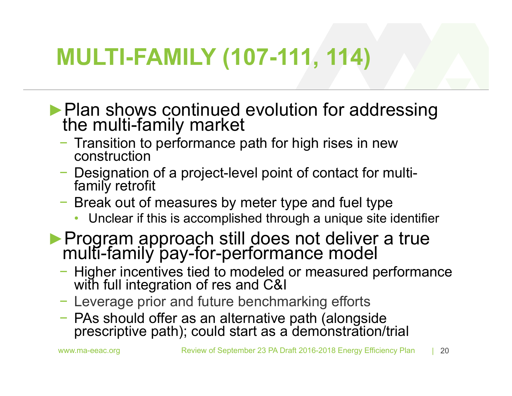## **MULTI-FAMILY (107-111, 114)**

- ► Plan shows continued evolution for addressing the multi-family market
	- − Transition to performance path for high rises in new construction
	- − Designation of a project-level point of contact for multi- family retrofit
	- − Break out of measures by meter type and fuel type
		- Unclear if this is accomplished through a unique site identifier
- **►**Program approach still does not deliver a true multi-family pay-for-performance model
	- − Higher incentives tied to modeled or measured performance with full integration of res and C&I
	- − Leverage prior and future benchmarking efforts
	- PAs should offer as an alternative path (alongside prescriptive path); could start as a demonstration/trial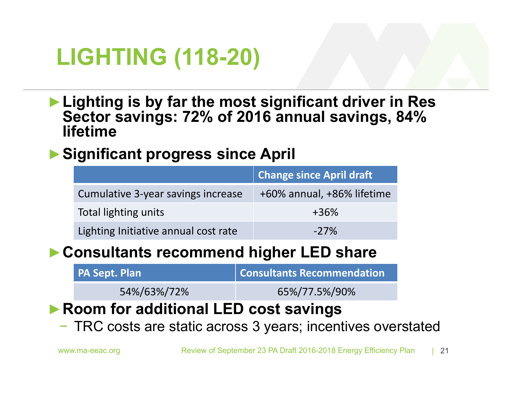## **LIGHTING (118-20)**

**►Lighting is by far the most significant driver in Res Sector savings: 72% of 2016 annual savings, 84% lifetime** 

### **►Significant progress since April**

|                                      | Change since April draft   |
|--------------------------------------|----------------------------|
| Cumulative 3-year savings increase   | +60% annual, +86% lifetime |
| Total lighting units                 | $+36%$                     |
| Lighting Initiative annual cost rate | $-27\%$                    |

### **►Consultants recommend higher LED share**

| <b>PA Sept. Plan</b> | Consultants Recommendation |
|----------------------|----------------------------|
| 54%/63%/72%          | 65%/77.5%/90%              |

### **►Room for additional LED cost savings**

− TRC costs are static across 3 years; incentives overstated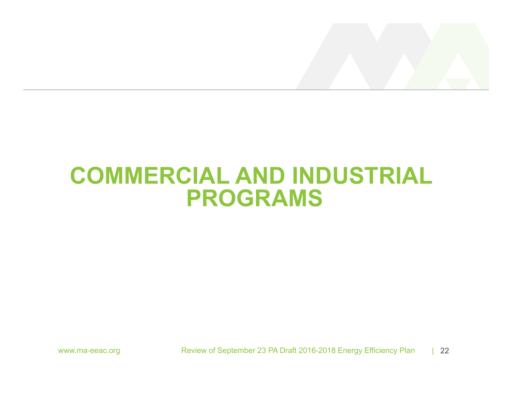

## **COMMERCIAL AND INDUSTRIAL PROGRAMS**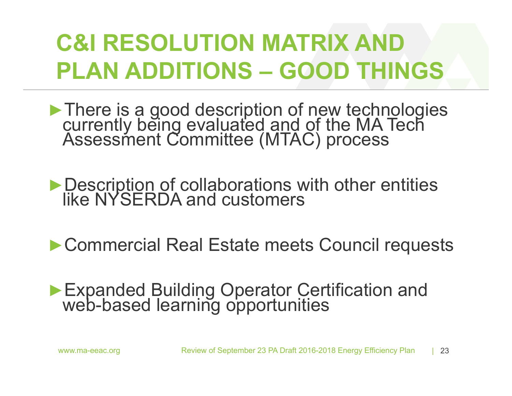# **C&I RESOLUTION MATRIX AND PLAN ADDITIONS – GOOD THINGS**

► There is a good description of new technologies<br>currently being evaluated and of the MA Tech<br>Assessment Committee (MTAC) process

► Description of collaborations with other entities like NYSERDA and customers

▶ Commercial Real Estate meets Council requests

# **►**Expanded Building Operator Certification and web-based learning opportunities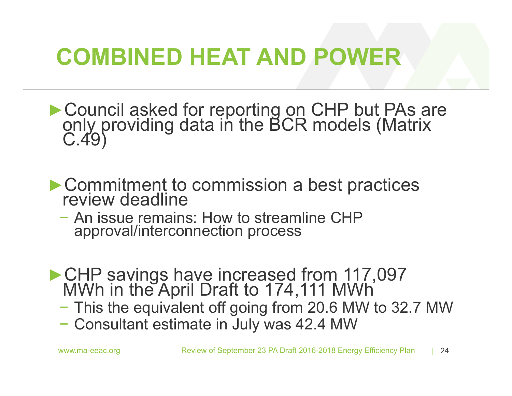## **COMBINED HEAT AND POWER**

- ► Council asked for reporting on CHP but PAs are only providing data in the BCR models (Matrix C.49)
- **►**Commitment to commission a best practices review deadline
	- An issue remains: How to streamline CHP approval/interconnection process
- **►**CHP savings have increased from 117,097 MWh in the April Draft to 174,111 MWh
	- This the equivalent off going from 20.6 MW to 32.7 MW
	- Consultant estimate in July was 42.4 MW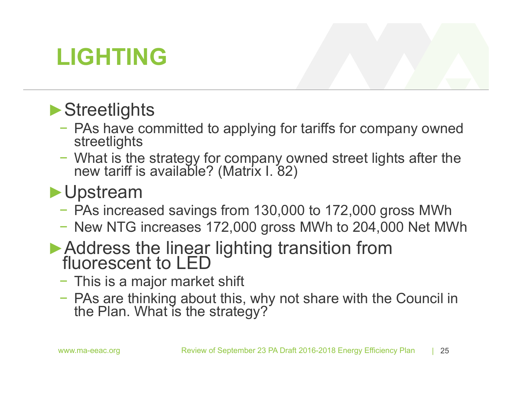## **LIGHTING**

## **►**Streetlights

- − PAs have committed to applying for tariffs for company owned streetlights
- − What is the strategy for company owned street lights after the new tariff is available? (Matrix I. 82)

## **►**Upstream

- − PAs increased savings from 130,000 to 172,000 gross MWh
- − New NTG increases 172,000 gross MWh to 204,000 Net MWh
- **►**Address the linear lighting transition from fluorescent to LED
	- − This is a major market shift
	- − PAs are thinking about this, why not share with the Council in the Plan. What is the strategy?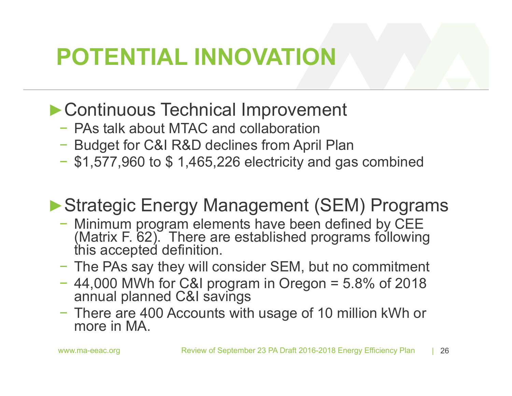## **POTENTIAL INNOVATION**

## **►**Continuous Technical Improvement

- − PAs talk about MTAC and collaboration
- − Budget for C&I R&D declines from April Plan
- \$1,577,960 to \$ 1,465,226 electricity and gas combined

## **►**Strategic Energy Management (SEM) Programs

- − Minimum program elements have been defined by CEE (Matrix F. 62). There are established programs following this accepted definition.
- − The PAs say they will consider SEM, but no commitment
- − 44,000 MWh for C&I program in Oregon = 5.8% of 2018 annual planned C&I savings
- − There are 400 Accounts with usage of 10 million kWh or more in MA.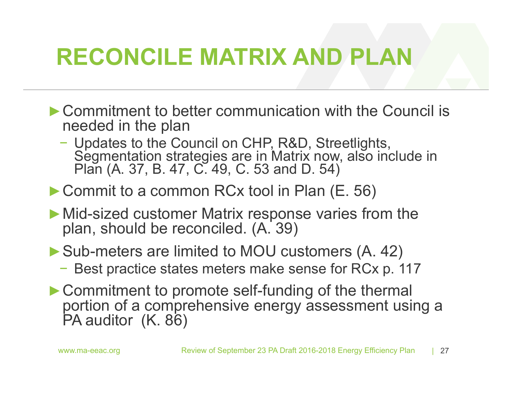## **RECONCILE MATRIX AND PLAN**

- **►**Commitment to better communication with the Council is needed in the plan
	- − Updates to the Council on CHP, R&D, Streetlights,<br>Segmentation strategies are in Matrix now, also include in<br>Plan (A. 37, B. 47, C. 49, C. 53 and D. 54)
- **►**Commit to a common RCx tool in Plan (E. 56)
- **►**Mid-sized customer Matrix response varies from the plan, should be reconciled. (A. 39)
- **►**Sub-meters are limited to MOU customers (A. 42)
	- − Best practice states meters make sense for RCx p. 117
- **►**Commitment to promote self-funding of the thermal portion of a comprehensive energy assessment using a PA auditor (K. 86)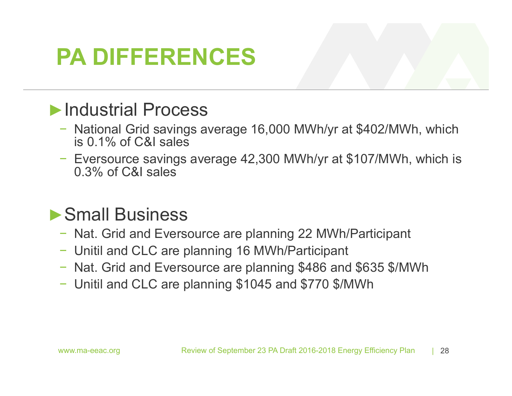## **PA DIFFERENCES**

### **►**Industrial Process

- − National Grid savings average 16,000 MWh/yr at \$402/MWh, which is 0.1% of C&I sales
- − Eversource savings average 42,300 MWh/yr at \$107/MWh, which is 0.3% of C&I sales

## **►**Small Business

- − Nat. Grid and Eversource are planning 22 MWh/Participant
- − Unitil and CLC are planning 16 MWh/Participant
- − Nat. Grid and Eversource are planning \$486 and \$635 \$/MWh
- − Unitil and CLC are planning \$1045 and \$770 \$/MWh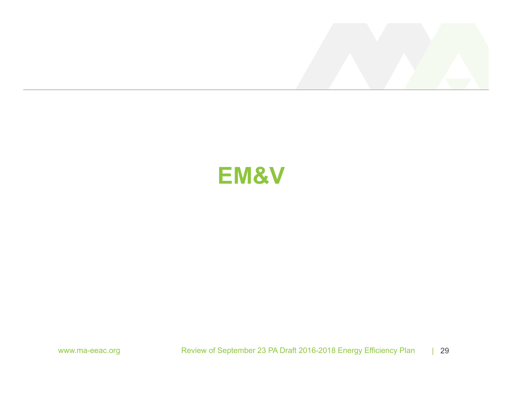

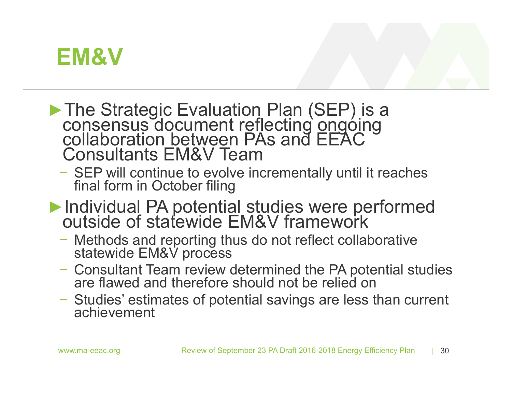

- The Strategic Evaluation Plan (SEP) is a<br>consensus document reflecting ongoing<br>collaboration between PAs and EEAC Consultants EM&V Team
	- − SEP will continue to evolve incrementally until it reaches final form in October filing
- ► Individual PA potential studies were performed outside of statewide EM&V framework
	- − Methods and reporting thus do not reflect collaborative statewide EM&V process
	- − Consultant Team review determined the PA potential studies are flawed and therefore should not be relied on
	- − Studies' estimates of potential savings are less than current achievement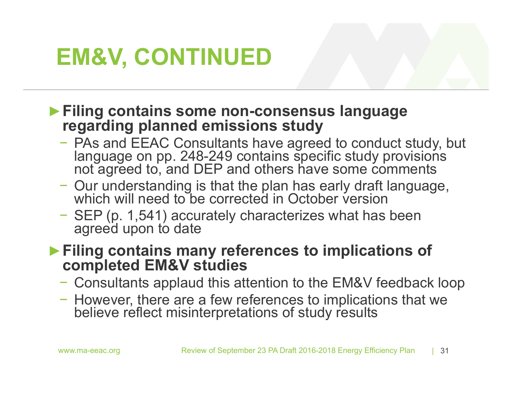## **EM&V, CONTINUED**

### **►Filing contains some non-consensus language regarding planned emissions study**

- − PAs and EEAC Consultants have agreed to conduct study, but language on pp. 248-249 contains specific study provisions not agreed to, and DEP and others have some comments
- − Our understanding is that the plan has early draft language, which will need to be corrected in October version
- − SEP (p. 1,541) accurately characterizes what has been agreed upon to date

### **►Filing contains many references to implications of completed EM&V studies**

- − Consultants applaud this attention to the EM&V feedback loop
- − However, there are a few references to implications that we believe reflect misinterpretations of study results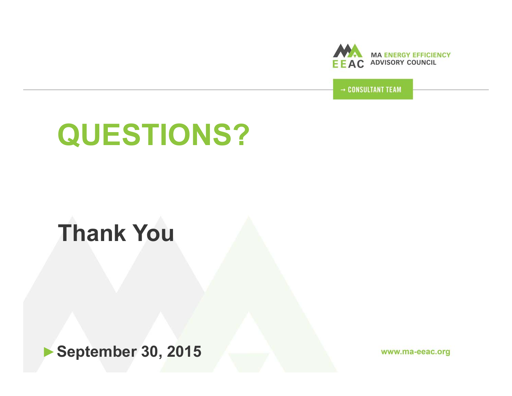

→ CONSULTANT TEAM

# **QUESTIONS?**

## **Thank You**

►**September 30, 2015**

www.ma-eeac.org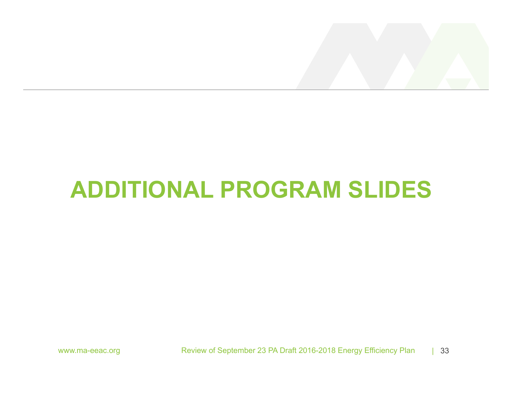

## **ADDITIONAL PROGRAM SLIDES**

www.ma-eeac.org Review of September 23 PA Draft 2016-2018 Energy Efficiency Plan | 33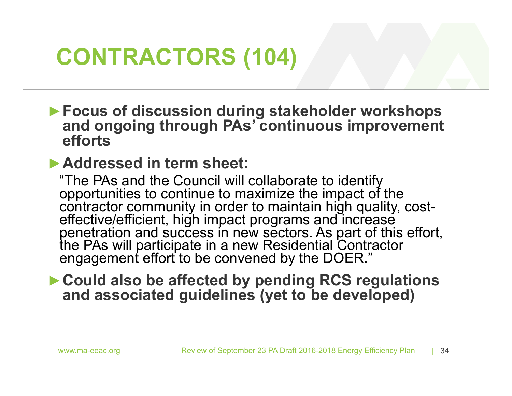## **CONTRACTORS (104)**

**►Focus of discussion during stakeholder workshops and ongoing through PAs' continuous improvement efforts**

### **►Addressed in term sheet:**

"The PAs and the Council will collaborate to identify<br>opportunities to continue to maximize the impact of the<br>contractor community in order to maintain high quality, cost-<br>effective/efficient, high impact programs and incr

### **►Could also be affected by pending RCS regulations and associated guidelines (yet to be developed)**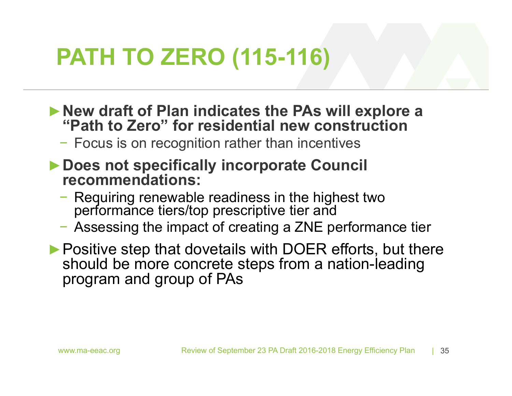## **PATH TO ZERO (115-116)**

- **►New draft of Plan indicates the PAs will explore a "Path to Zero" for residential new construction**
	- − Focus is on recognition rather than incentives
- **►Does not specifically incorporate Council recommendations:**
	- Requiring renewable readiness in the highest two performance tiers/top prescriptive tier and
	- − Assessing the impact of creating a ZNE performance tier
- **►**Positive step that dovetails with DOER efforts, but there should be more concrete steps from a nation-leading program and group of PAs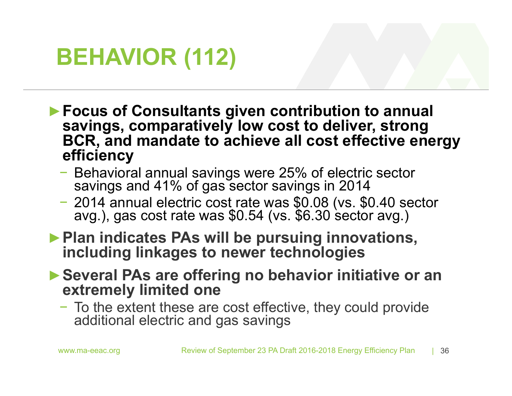## **BEHAVIOR (112)**

- **►Focus of Consultants given contribution to annual savings, comparatively low cost to deliver, strong BCR, and mandate to achieve all cost effective energy efficiency**
	- − Behavioral annual savings were 25% of electric sector savings and 41% of gas sector savings in 2014
	- 2014 annual electric cost rate was \$0.08 (vs. \$0.40 sector avg.), gas cost rate was \$0.54 (vs. \$6.30 sector avg.)
- ▶ Plan indicates PAs will be pursuing innovations, **including linkages to newer technologies**
- **►Several PAs are offering no behavior initiative or an extremely limited one**
	- − To the extent these are cost effective, they could provide additional electric and gas savings